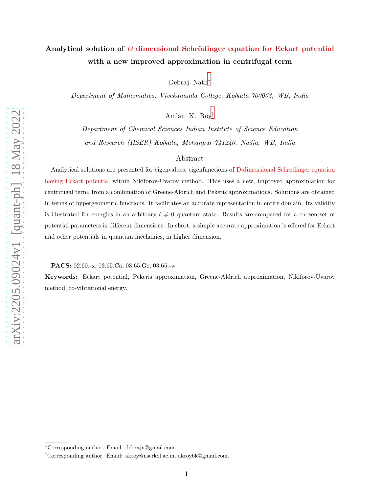# Analytical solution of  $D$  dimensional Schrödinger equation for Eckart potential with a new improved approximation in centrifugal term

Debraj Nath[∗](#page-0-0)

Department of Mathematics, Vivekananda College, Kolkata-700063, WB, India

Amlan K. Roy[†](#page-0-1)

Department of Chemical Sciences Indian Institute of Science Education and Research (IISER) Kolkata, Mohanpur-741246, Nadia, WB, India

## Abstract

Analytical solutions are presented for eigenvalues, eigenfunctions of D-dimensional Schrodinger equation having Eckart potential within Nikiforov-Uvarov method. This uses a new, improved approximation for centrifugal term, from a combination of Greene-Aldrich and Pekeris approximations. Solutions are obtained in terms of hypergeometric functions. It facilitates an accurate representation in entire domain. Its validity is illustrated for energies in an arbitrary  $\ell \neq 0$  quantum state. Results are compared for a chosen set of potential parameters in different dimensions. In short, a simple accurate approximation is offered for Eckart and other potentials in quantum mechanics, in higher dimension.

PACS: 02.60.-x, 03.65.Ca, 03.65.Ge, 03.65.-w

Keywords: Eckart potential, Pekeris approximation, Greene-Aldrich approximation, Nikiforov-Uvarov method, ro-vibrational energy.

<span id="page-0-0"></span><sup>∗</sup>Corresponding author. Email: debrajn@gmail.com

<span id="page-0-1"></span><sup>†</sup>Corresponding author. Email: akroy@iiserkol.ac.in, akroy6k@gmail.com.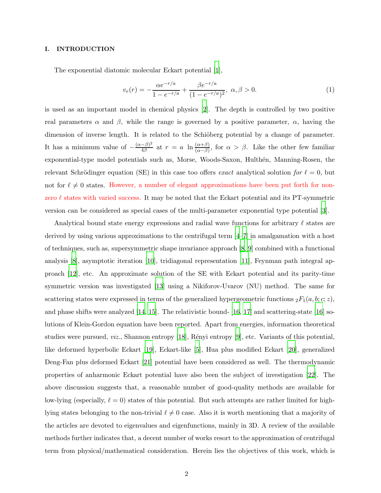## I. INTRODUCTION

The exponential diatomic molecular Eckart potential [\[1\]](#page-11-0),

$$
v_e(r) = -\frac{\alpha e^{-r/a}}{1 - e^{-r/a}} + \frac{\beta e^{-r/a}}{(1 - e^{-r/a})^2}, \ \alpha, \beta > 0.
$$
 (1)

is used as an important model in chemical physics [\[2\]](#page-11-1). The depth is controlled by two positive real parameters  $\alpha$  and  $\beta$ , while the range is governed by a positive parameter,  $\alpha$ , having the dimension of inverse length. It is related to the Schiöberg potential by a change of parameter. It has a minimum value of  $-\frac{(\alpha-\beta)^2}{4\beta}$  $\frac{(-\beta)^2}{4\beta}$  at  $r = a \ln \frac{(\alpha+\beta)}{(\alpha-\beta)}$ , for  $\alpha > \beta$ . Like the other few familiar exponential-type model potentials such as, Morse, Woods-Saxon, Hulthén, Manning-Rosen, the relevant Schrödinger equation (SE) in this case too offers exact analytical solution for  $\ell = 0$ , but not for  $\ell \neq 0$  states. However, a number of elegant approximations have been put forth for nonzero  $\ell$  states with varied success. It may be noted that the Eckart potential and its PT-symmetric version can be considered as special cases of the multi-parameter exponential type potential [\[3](#page-12-0)].

Analytical bound state energy expressions and radial wave functions for arbitrary  $\ell$  states are derived by using various approximations to the centrifugal term [\[4](#page-12-1)[–7](#page-12-2)] in amalgamation with a host of techniques, such as, supersymmetric shape invariance approach [\[8,](#page-12-3) [9](#page-12-4)] combined with a functional analysis [\[8\]](#page-12-3), asymptotic iteration [\[10](#page-12-5)], tridiagonal representation [\[11](#page-12-6)], Feynman path integral approach [\[12\]](#page-12-7), etc. An approximate solution of the SE with Eckart potential and its parity-time symmetric version was investigated [\[13](#page-12-8)] using a Nikiforov-Uvarov (NU) method. The same for scattering states were expressed in terms of the generalized hypergeometric functions  ${}_2F_1(a, b; c; z)$ , and phase shifts were analyzed  $[14, 15]$  $[14, 15]$ . The relativistic bound-  $[16, 17]$  $[16, 17]$  $[16, 17]$  and scattering-state  $[16]$  solutions of Klein-Gordon equation have been reported. Apart from energies, information theoretical studies were pursued, *viz.*, Shannon entropy [\[18](#page-12-13)], Rényi entropy [\[9](#page-12-4)], etc. Variants of this potential, like deformed hyperbolic Eckart [\[19](#page-12-14)], Eckart-like [\[5](#page-12-15)], Hua plus modified Eckart [\[20](#page-12-16)], generalized Deng-Fan plus deformed Eckart [\[21](#page-12-17)] potential have been considered as well. The thermodynamic properties of anharmonic Eckart potential have also been the subject of investigation [\[22](#page-12-18)]. The above discussion suggests that, a reasonable number of good-quality methods are available for low-lying (especially,  $\ell = 0$ ) states of this potential. But such attempts are rather limited for highlying states belonging to the non-trivial  $\ell \neq 0$  case. Also it is worth mentioning that a majority of the articles are devoted to eigenvalues and eigenfunctions, mainly in 3D. A review of the available methods further indicates that, a decent number of works resort to the approximation of centrifugal term from physical/mathematical consideration. Herein lies the objectives of this work, which is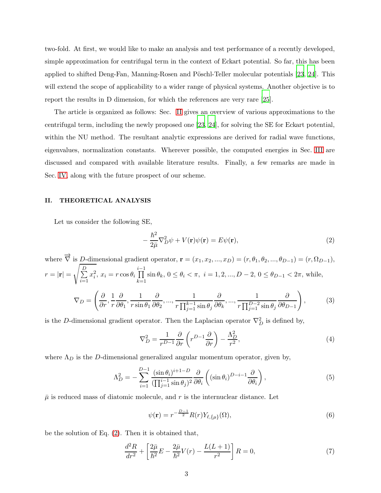two-fold. At first, we would like to make an analysis and test performance of a recently developed, simple approximation for centrifugal term in the context of Eckart potential. So far, this has been applied to shifted Deng-Fan, Manning-Rosen and Pöschl-Teller molecular potentials [\[23,](#page-12-19) [24](#page-12-20)]. This will extend the scope of applicability to a wider range of physical systems. Another objective is to report the results in D dimension, for which the references are very rare [\[25](#page-12-21)].

The article is organized as follows: Sec. [II](#page-2-0) gives an overview of various approximations to the centrifugal term, including the newly proposed one [\[23](#page-12-19), [24](#page-12-20)], for solving the SE for Eckart potential, within the NU method. The resultant analytic expressions are derived for radial wave functions, eigenvalues, normalization constants. Wherever possible, the computed energies in Sec. [III](#page-8-0) are discussed and compared with available literature results. Finally, a few remarks are made in Sec. [IV,](#page-11-2) along with the future prospect of our scheme.

## <span id="page-2-0"></span>II. THEORETICAL ANALYSIS

Let us consider the following SE,

<span id="page-2-1"></span>
$$
-\frac{\hbar^2}{2\bar{\mu}}\nabla_D^2\psi + V(\mathbf{r})\psi(\mathbf{r}) = E\psi(\mathbf{r}),\tag{2}
$$

where  $\overrightarrow{\nabla}$  is <u>D-dimensional</u> gradient operator,  $\mathbf{r} = (x_1, x_2, ..., x_D) = (r, \theta_1, \theta_2, ..., \theta_{D-1}) = (r, \Omega_{D-1}),$  $r=|\mathbf{r}|=$ s  $\frac{D}{\sum}$  $\frac{i=1}{i}$  $x_i^2$ ,  $x_i = r \cos \theta_i$ i−1<br>∏  $\prod_{k=1} \sin \theta_k$ ,  $0 \le \theta_i < \pi$ ,  $i = 1, 2, ..., D - 2$ ,  $0 \le \theta_{D-1} < 2\pi$ , while,  $\nabla_D =$  $\left(\frac{\partial}{\partial r},\frac{1}{r}\right)$ r ∂  $\frac{\partial}{\partial \theta_1}, \frac{1}{r \sin}$  $r \sin \theta_1$ ∂  $\frac{\partial}{\partial \theta_2},...,\frac{1}{r\prod_{i=1}^{k-1}}$  $r \prod_{j=1}^{k-1} \sin \theta_j$ ∂  $\frac{\partial}{\partial \theta_k}, ..., \frac{1}{r \prod_{i=1}^{D-2}}$  $r \prod_{j=1}^{D-2} \sin \theta_j$ ∂  $\partial \theta_{D-1}$  $\setminus$ , (3)

is the D-dimensional gradient operator. Then the Laplacian operator  $\nabla_D^2$  is defined by,

$$
\nabla_D^2 = \frac{1}{r^{D-1}} \frac{\partial}{\partial r} \left( r^{D-1} \frac{\partial}{\partial r} \right) - \frac{\Lambda_D^2}{r^2},\tag{4}
$$

where  $\Lambda_D$  is the D-dimensional generalized angular momentum operator, given by,

$$
\Lambda_D^2 = -\sum_{i=1}^{D-1} \frac{(\sin \theta_i)^{i+1-D}}{(\prod_{j=1}^{i-1} \sin \theta_j)^2} \frac{\partial}{\partial \theta_i} \left( (\sin \theta_i)^{D-i-1} \frac{\partial}{\partial \theta_i} \right),\tag{5}
$$

 $\bar{\mu}$  is reduced mass of diatomic molecule, and r is the internuclear distance. Let

$$
\psi(\mathbf{r}) = r^{-\frac{D-1}{2}} R(r) Y_{\ell, \{\mu\}}(\Omega),\tag{6}
$$

be the solution of Eq. [\(2\)](#page-2-1). Then it is obtained that,

<span id="page-2-2"></span>
$$
\frac{d^2R}{dr^2} + \left[\frac{2\bar{\mu}}{\hbar^2}E - \frac{2\bar{\mu}}{\hbar^2}V(r) - \frac{L(L+1)}{r^2}\right]R = 0,\tag{7}
$$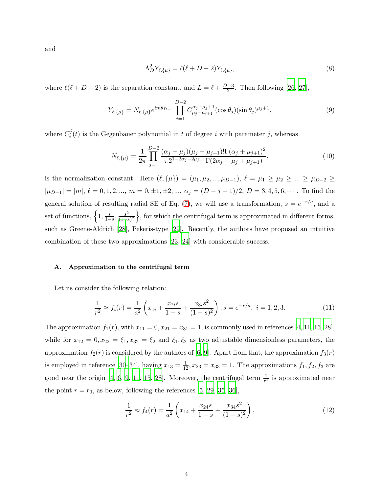and

$$
\Lambda_D^2 Y_{\ell, \{\mu\}} = \ell(\ell + D - 2) Y_{\ell, \{\mu\}},\tag{8}
$$

where  $\ell(\ell+D-2)$  is the separation constant, and  $L = \ell + \frac{D-3}{2}$ . Then following [\[26,](#page-12-22) [27](#page-12-23)],

$$
Y_{\ell,\{\mu\}} = N_{\ell,\{\mu\}} e^{im\theta_{D-1}} \prod_{j=1}^{D-2} C_{\mu_j - \mu_{j+1}}^{\alpha_j + \mu_j + 1} (\cos \theta_j) (\sin \theta_j)^{\mu_j + 1}, \tag{9}
$$

where  $C_i^j$  $i<sub>i</sub>(t)$  is the Gegenbauer polynomial in t of degree i with parameter j, whereas

$$
N_{\ell,\{\mu\}} = \frac{1}{2\pi} \prod_{j=1}^{D-2} \frac{(\alpha_j + \mu_j)(\mu_j - \mu_{j+1})! \Gamma(\alpha_j + \mu_{j+1})^2}{\pi 2^{1-2\alpha_j - 2\mu_{j+1}} \Gamma(2\alpha_j + \mu_j + \mu_{j+1})},
$$
(10)

is the normalization constant. Here  $(\ell, \{\mu\}) = (\mu_1, \mu_2, ..., \mu_{D-1}), \ell = \mu_1 \ge \mu_2 \ge ... \ge \mu_{D-2} \ge$  $|\mu_{D-1}| = |m|, \ell = 0, 1, 2, ..., m = 0, \pm 1, \pm 2, ..., \alpha_j = (D-j-1)/2, D = 3, 4, 5, 6, ...$  To find the general solution of resulting radial SE of Eq. [\(7\)](#page-2-2), we will use a transformation,  $s = e^{-r/a}$ , and a set of functions,  $\left\{1, \frac{s}{1 -} \right\}$  $\frac{s}{1-s}, \frac{s^2}{(1-s)}$  $\frac{s^2}{(1-s)^2}$ , for which the centrifugal term is approximated in different forms, such as Greene-Aldrich [\[28\]](#page-12-24), Pekeris-type [\[29](#page-12-25)]. Recently, the authors have proposed an intuitive combination of these two approximations [\[23](#page-12-19), [24\]](#page-12-20) with considerable success.

## A. Approximation to the centrifugal term

Let us consider the following relation:

<span id="page-3-0"></span>
$$
\frac{1}{r^2} \approx f_i(r) = \frac{1}{a^2} \left( x_{1i} + \frac{x_{2i}s}{1-s} + \frac{x_{3i}s^2}{(1-s)^2} \right), s = e^{-r/a}, \ i = 1, 2, 3.
$$
 (11)

The approximation  $f_1(r)$ , with  $x_{11} = 0, x_{21} = x_{31} = 1$ , is commonly used in references [\[4,](#page-12-1) [11](#page-12-6), [15,](#page-12-10) [28](#page-12-24)], while for  $x_{12} = 0, x_{22} = \xi_1, x_{32} = \xi_2$  and  $\xi_1, \xi_2$  as two adjustable dimensionless parameters, the approximation  $f_2(r)$  is considered by the authors of [\[6](#page-12-26), [9](#page-12-4)]. Apart from that, the approximation  $f_3(r)$ is employed in reference [\[30](#page-12-27)[–34\]](#page-12-28), having  $x_{13} = \frac{1}{12}$ ,  $x_{23} = x_{33} = 1$ . The approximations  $f_1, f_2, f_3$  are good near the origin [\[4](#page-12-1), [6](#page-12-26), [9,](#page-12-4) [11,](#page-12-6) [15](#page-12-10), [28](#page-12-24)]. Moreover, the centrifugal term  $\frac{1}{r^2}$  is approximated near the point  $r = r_0$ , as below, following the references [\[5](#page-12-15), [29,](#page-12-25) [35](#page-12-29), [36\]](#page-12-30),

<span id="page-3-1"></span>
$$
\frac{1}{r^2} \approx f_4(r) = \frac{1}{a^2} \left( x_{14} + \frac{x_{24}s}{1-s} + \frac{x_{34}s^2}{(1-s)^2} \right),\tag{12}
$$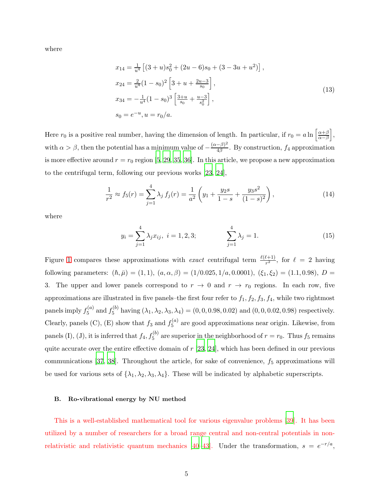where

$$
x_{14} = \frac{1}{u^4} \left[ (3+u)s_0^2 + (2u-6)s_0 + (3-3u+u^2) \right],
$$
  
\n
$$
x_{24} = \frac{2}{u^4} (1-s_0)^2 \left[ 3+u+\frac{2u-3}{s_0} \right],
$$
  
\n
$$
x_{34} = -\frac{1}{u^4} (1-s_0)^3 \left[ \frac{3+u}{s_0} + \frac{u-3}{s_0^2} \right],
$$
  
\n
$$
s_0 = e^{-u}, u = r_0/a.
$$
  
\n(13)

Here  $r_0$  is a positive real number, having the dimension of length. In particular, if  $r_0 = a \ln \left[ \frac{\alpha + \beta}{\alpha - \beta} \right]$  $\alpha-\beta$ i , with  $\alpha > \beta$ , then the potential has a minimum value of  $-\frac{(\alpha - \beta)^2}{4\beta}$  $\frac{-p_1}{4\beta}$ . By construction,  $f_4$  approximation is more effective around  $r = r_0$  region [\[5](#page-12-15), [29,](#page-12-25) [35](#page-12-29), [36\]](#page-12-30). In this article, we propose a new approximation to the centrifugal term, following our previous works [\[23](#page-12-19), [24\]](#page-12-20),

<span id="page-4-0"></span>
$$
\frac{1}{r^2} \approx f_5(r) = \sum_{j=1}^4 \lambda_j f_j(r) = \frac{1}{a^2} \left( y_1 + \frac{y_2 s}{1 - s} + \frac{y_3 s^2}{(1 - s)^2} \right),\tag{14}
$$

where

$$
y_i = \sum_{j=1}^4 \lambda_j x_{ij}, \ i = 1, 2, 3; \qquad \sum_{j=1}^4 \lambda_j = 1. \tag{15}
$$

Figure [1](#page-5-0) compares these approximations with *exact* centrifugal term  $\frac{\ell(\ell+1)}{r^2}$ , for  $\ell = 2$  having following parameters:  $(h, \bar{\mu}) = (1, 1), (a, \alpha, \beta) = (1/0.025, 1/a, 0.0001), (\xi_1, \xi_2) = (1.1, 0.98), D =$ 3. The upper and lower panels correspond to  $r \to 0$  and  $r \to r_0$  regions. In each row, five approximations are illustrated in five panels–the first four refer to  $f_1$ ,  $f_2$ ,  $f_3$ ,  $f_4$ , while two rightmost panels imply  $f_5^{(a)}$  $f_5^{(a)}$  and  $f_5^{(b)}$  $S_5^{(0)}$  having  $(\lambda_1, \lambda_2, \lambda_3, \lambda_4) = (0, 0, 0.98, 0.02)$  and  $(0, 0, 0.02, 0.98)$  respectively. Clearly, panels (C), (E) show that  $f_3$  and  $f_5^{(a)}$  $5^{(a)}$  are good approximations near origin. Likewise, from panels (I), (J), it is inferred that  $f_4, f_5^{(b)}$  are superior in the neighborhood of  $r = r_0$ . Thus  $f_5$  remains quite accurate over the entire effective domain of  $r$  [\[23](#page-12-19), [24](#page-12-20)], which has been defined in our previous communications [\[37](#page-12-31), [38](#page-13-0)]. Throughout the article, for sake of convenience,  $f_5$  approximations will be used for various sets of  $\{\lambda_1, \lambda_2, \lambda_3, \lambda_4\}$ . These will be indicated by alphabetic superscripts.

#### B. Ro-vibrational energy by NU method

This is a well-established mathematical tool for various eigenvalue problems [\[39\]](#page-13-1). It has been utilized by a number of researchers for a broad range central and non-central potentials in non-relativistic and relativistic quantum mechanics [\[40](#page-13-2)[–43](#page-13-3)]. Under the transformation,  $s = e^{-r/a}$ ,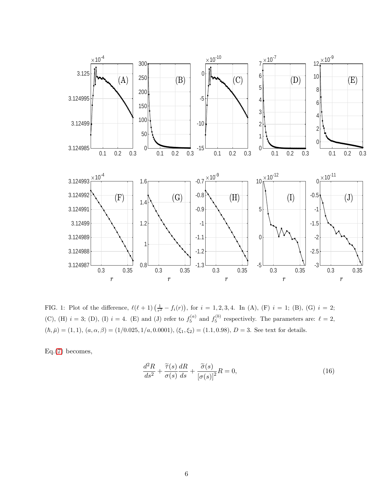

<span id="page-5-0"></span>FIG. 1: Plot of the difference,  $\ell(\ell+1)\left(\frac{1}{r^2}-f_i(r)\right)$ , for  $i=1,2,3,4$ . In (A), (F)  $i=1$ ; (B), (G)  $i=2$ ; (C), (H)  $i = 3$ ; (D), (I)  $i = 4$ . (E) and (J) refer to  $f_5^{(a)}$  and  $f_5^{(b)}$  respectively. The parameters are:  $\ell = 2$ ,  $(h, \bar{\mu}) = (1, 1), (a, \alpha, \beta) = (1/0.025, 1/a, 0.0001), (\xi_1, \xi_2) = (1.1, 0.98), D = 3$ . See text for details.

Eq.[\(7\)](#page-2-2) becomes,

<span id="page-5-1"></span>
$$
\frac{d^2R}{ds^2} + \frac{\tilde{\tau}(s)}{\sigma(s)}\frac{dR}{ds} + \frac{\tilde{\sigma}(s)}{[\sigma(s)]^2}R = 0,
$$
\n(16)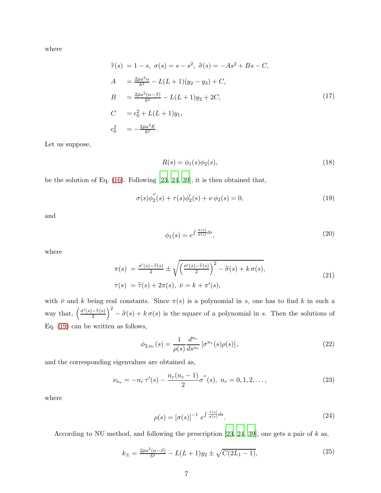where

$$
\begin{aligned}\n\tilde{\tau}(s) &= 1 - s, \ \sigma(s) = s - s^2, \ \tilde{\sigma}(s) = -As^2 + Bs - C, \\
A &= \frac{2\bar{\mu}a^2\alpha}{\hbar^2} - L(L+1)(y_2 - y_3) + C, \\
B &= \frac{2\bar{\mu}a^2(\alpha - \beta)}{\hbar^2} - L(L+1)y_2 + 2C, \\
C &= \epsilon_0^2 + L(L+1)y_1, \\
\epsilon_0^2 &= -\frac{2\bar{\mu}a^2E}{\hbar^2}.\n\end{aligned}
$$
\n(17)

Let us suppose,

$$
R(s) = \phi_1(s)\phi_2(s),\tag{18}
$$

be the solution of Eq. [\(16\)](#page-5-1). Following [\[23](#page-12-19), [24,](#page-12-20) [39](#page-13-1)], it is then obtained that,

<span id="page-6-0"></span>
$$
\sigma(s)\phi_2''(s) + \tau(s)\phi_2'(s) + \nu\,\phi_2(s) = 0,\tag{19}
$$

and

$$
\phi_1(s) = e^{\int \frac{\pi(s)}{\sigma(s)} ds},\tag{20}
$$

where

<span id="page-6-2"></span>
$$
\pi(s) = \frac{\sigma'(s) - \tilde{\tau}(s)}{2} \pm \sqrt{\left(\frac{\sigma'(s) - \tilde{\tau}(s)}{2}\right)^2 - \tilde{\sigma}(s) + k \sigma(s)},
$$
\n
$$
\tau(s) = \tilde{\tau}(s) + 2\pi(s), \quad \bar{\nu} = k + \pi'(s),
$$
\n(21)

with  $\bar{\nu}$  and k being real constants. Since  $\pi(s)$  is a polynomial in s, one has to find k in such a way that,  $\left(\frac{\sigma'(s)-\widetilde{\tau}(s)}{2}\right)$  $\int_{0}^{2} -\tilde{\sigma}(s) + k \sigma(s)$  is the square of a polynomial in s. Then the solutions of Eq. [\(19\)](#page-6-0) can be written as follows,

$$
\phi_{2,n_r}(s) = \frac{1}{\rho(s)} \frac{d^{n_r}}{ds^{n_r}} \left[ \sigma^{n_r}(s) \rho(s) \right],
$$
\n(22)

and the corresponding eigenvalues are obtained as,

$$
\nu_{n_r} = -n_r \tau'(s) - \frac{n_r(n_r - 1)}{2} \sigma''(s), \ n_r = 0, 1, 2, \dots,
$$
\n(23)

where

$$
\rho(s) = [\sigma(s)]^{-1} e^{\int \frac{\tau(s)}{\sigma(s)} ds}.
$$
\n(24)

According to NU method, and following the prescription  $[23, 24, 39]$  $[23, 24, 39]$  $[23, 24, 39]$  $[23, 24, 39]$  $[23, 24, 39]$ , one gets a pair of k as,

<span id="page-6-1"></span>
$$
k_{\pm} = \frac{2\bar{\mu}a^2(\alpha - \beta)}{\hbar^2} - L(L+1)y_2 \pm \sqrt{C(2L_1 - 1)},\tag{25}
$$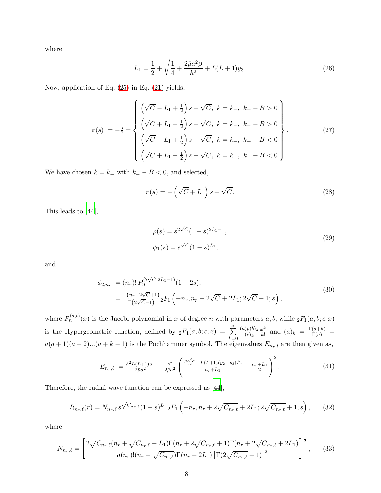where

$$
L_1 = \frac{1}{2} + \sqrt{\frac{1}{4} + \frac{2\bar{\mu}a^2\beta}{\hbar^2} + L(L+1)y_3}.
$$
 (26)

Now, application of Eq. [\(25\)](#page-6-1) in Eq. [\(21\)](#page-6-2) yields,

$$
\pi(s) = -\frac{s}{2} \pm \begin{cases}\n\left(\sqrt{C} - L_1 + \frac{1}{2}\right)s + \sqrt{C}, \ k = k_+, \ k_+ - B > 0 \\
\left(\sqrt{C} + L_1 - \frac{1}{2}\right)s + \sqrt{C}, \ k = k_-, \ k_- - B > 0 \\
\left(\sqrt{C} - L_1 + \frac{1}{2}\right)s - \sqrt{C}, \ k = k_+, \ k_+ - B < 0 \\
\left(\sqrt{C} + L_1 - \frac{1}{2}\right)s - \sqrt{C}, \ k = k_-, \ k_- - B < 0\n\end{cases}
$$
\n(27)

We have chosen  $k = k_-\$  with  $k_-\, B < 0$ , and selected,

$$
\pi(s) = -\left(\sqrt{C} + L_1\right)s + \sqrt{C}.\tag{28}
$$

This leads to [\[44](#page-13-4)],

$$
\rho(s) = s^{2\sqrt{C}} (1 - s)^{2L_1 - 1},
$$
  
\n
$$
\phi_1(s) = s^{\sqrt{C}} (1 - s)^{L_1},
$$
\n(29)

and

$$
\phi_{2,n_r} = (n_r)! P_{n_r}^{(2\sqrt{C}, 2L_1 - 1)}(1 - 2s),
$$
  
= 
$$
\frac{\Gamma(n_r + 2\sqrt{C} + 1)}{\Gamma(2\sqrt{C} + 1)} {}_2F_1 \left( -n_r, n_r + 2\sqrt{C} + 2L_1; 2\sqrt{C} + 1; s \right),
$$
 (30)

where  $P_n^{(a,b)}(x)$  is the Jacobi polynomial in x of degree n with parameters a, b, while  ${}_2F_1(a,b;c;x)$ is the Hypergeometric function, defined by  ${}_2F_1(a, b; c; x) = \sum_{n=0}^{\infty}$  $_{k=0}$  $(a)_k(b)_k$  $(c)_k$  $x^k$  $\frac{x^k}{k!}$  and  $(a)_k = \frac{\Gamma(a+k)}{\Gamma(a)} =$  $a(a + 1)(a + 2)...(a + k - 1)$  is the Pochhammer symbol. The eigenvalues  $E_{n_r,l}$  are then given as,

$$
E_{n_r,\ell} = \frac{\hbar^2 L(L+1)y_1}{2\bar{\mu}a^2} - \frac{\hbar^2}{2\bar{\mu}a^2} \left( \frac{\frac{\bar{\mu}a^2 \alpha}{\hbar^2} - L(L+1)(y_2 - y_3)/2}{n_r + L_1} - \frac{n_r + L_1}{2} \right)^2.
$$
 (31)

Therefore, the radial wave function can be expressed as [\[44\]](#page-13-4),

$$
R_{n_r,\ell}(r) = N_{n_r,\ell} s^{\sqrt{C_{n_r,\ell}}} (1-s)^{L_1} \, {}_2F_1 \left(-n_r, n_r+2\sqrt{C_{n_r,\ell}}+2L_1; 2\sqrt{C_{n_r,\ell}}+1; s\right),\tag{32}
$$

where

$$
N_{n_r,\ell} = \left[ \frac{2\sqrt{C_{n_r,\ell}}(n_r + \sqrt{C_{n_r,\ell}} + L_1)\Gamma(n_r + 2\sqrt{C_{n_r,\ell}} + 1)\Gamma(n_r + 2\sqrt{C_{n_r,\ell}} + 2L_1)}{a(n_r)!(n_r + \sqrt{C_{n_r,\ell}})\Gamma(n_r + 2L_1)\left[\Gamma(2\sqrt{C_{n_r,\ell}} + 1)\right]^2} \right]^{\frac{1}{2}},
$$
(33)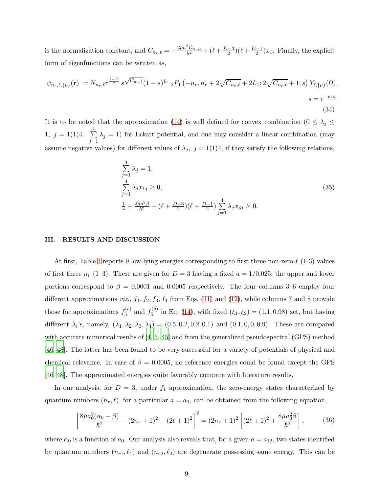is the normalization constant, and  $C_{n_r,\ell} = -\frac{2\bar{\mu}a^2E_{n_r,\ell}}{\hbar^2} + (\ell + \frac{D-3}{2})(\ell + \frac{D-1}{2})x_1$ . Finally, the explicit form of eigenfunctions can be written as,

$$
\psi_{n_r,\ell,\{\mu\}}(\mathbf{r}) = N_{n_r,\ell} r^{\frac{1-D}{2}} s^{\sqrt{C_{n_r,\ell}}} (1-s)^{L_1} {}_2F_1 \left(-n_r, n_r+2\sqrt{C_{n_r,\ell}}+2L_1; 2\sqrt{C_{n_r,\ell}}+1; s\right) Y_{\ell,\{\mu\}}(\Omega),
$$
  

$$
s = e^{-r/a}.
$$
  
(34)

It is to be noted that the approximation [\(14\)](#page-4-0) is well defined for convex combination ( $0 \leq \lambda_j \leq$ 1,  $j = 1(1)4$ ,  $\sum_{i=1}^{4}$  $j=1$  $\lambda_j = 1$ ) for Eckart potential, and one may consider a linear combination (may assume negative values) for different values of  $\lambda_j$ ,  $j = 1(1)4$ , if they satisfy the following relations,

$$
\sum_{j=1}^{4} \lambda_j = 1,
$$
\n
$$
\sum_{j=1}^{4} \lambda_j x_{1j} \ge 0,
$$
\n
$$
\frac{1}{4} + \frac{2\bar{\mu}a^2\beta}{\bar{h}^2} + (\ell + \frac{D-3}{2})(\ell + \frac{D-1}{2}) \sum_{j=1}^{4} \lambda_j x_{3j} \ge 0.
$$
\n(35)

### <span id="page-8-0"></span>III. RESULTS AND DISCUSSION

At first, Table [I](#page-9-0) reports 9 low-lying energies corresponding to first three non-zero- $\ell$  (1-3) values of first three  $n_r$  (1–3). These are given for  $D = 3$  having a fixed  $a = 1/0.025$ ; the upper and lower portions correspond to  $\beta = 0.0001$  and 0.0005 respectively. The four columns 3–6 employ four different approximations *viz.*,  $f_1$ ,  $f_2$ ,  $f_3$ ,  $f_4$  from Eqs. [\(11\)](#page-3-0) and [\(12\)](#page-3-1), while columns 7 and 8 provide those for approximations  $f_5^{(c)}$  $f_5^{(c)}$  and  $f_5^{(d)}$  $S_5^{(a)}$  in Eq. [\(14\)](#page-4-0), with fixed  $(\xi_1, \xi_2) = (1.1, 0.98)$  set, but having different  $\lambda_i$ 's, namely,  $(\lambda_1, \lambda_2, \lambda_3, \lambda_4) = (0.5, 0.2, 0.2, 0.1)$  and  $(0.1, 0, 0, 0.9)$ . These are compared with accurate numerical results of  $[4, 6, 45]$  $[4, 6, 45]$  $[4, 6, 45]$  $[4, 6, 45]$  and from the generalized pseudospectral (GPS) method [\[46](#page-13-6)[–48](#page-13-7)]. The latter has been found to be very successful for a variety of potentials of physical and chemical relevance. In case of  $\beta = 0.0005$ , no reference energies could be found except the GPS [\[46](#page-13-6)[–48](#page-13-7)]. The approximated energies quite favorably compare with literature results.

In our analysis, for  $D = 3$ , under  $f_1$  approximation, the zero-energy states characterized by quantum numbers  $(n_r, \ell)$ , for a particular  $a = a_0$ , can be obtained from the following equation,

$$
\left[\frac{8\bar{\mu}a_0^2(\alpha_0-\beta)}{\hbar^2} - (2n_r+1)^2 - (2\ell+1)^2\right]^2 = (2n_r+1)^2 \left[(2\ell+1)^2 + \frac{8\bar{\mu}a_0^2\beta}{\hbar^2}\right],\tag{36}
$$

where  $\alpha_0$  is a function of  $a_0$ . Our analysis also reveals that, for a given  $a = a_{12}$ , two states identified by quantum numbers  $(n_{r1}, \ell_1)$  and  $(n_{r2}, \ell_2)$  are degenerate possessing same energy. This can be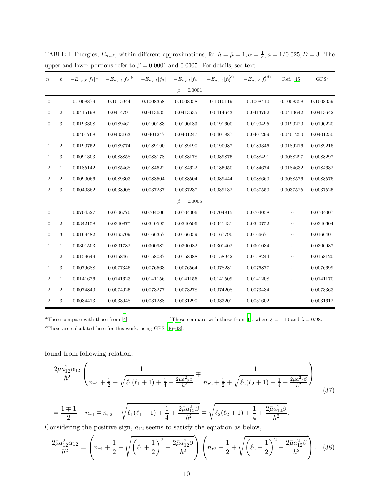| $n_r$            | $\ell$           | $-E_{n_r,\ell}[f_1]^a$ | $-E_{n_r,\ell}[f_2]^b$ | $-E_{n_r,\ell}[f_3]$ | $-E_{n_r,\ell}[f_4]$ | $-E_{n_r,\ell}[f_5^{(c)}]$ | $-E_{n_r,\ell}[f_5^{(d)}]$ | Ref. [45] | $GPS^c$   |  |  |
|------------------|------------------|------------------------|------------------------|----------------------|----------------------|----------------------------|----------------------------|-----------|-----------|--|--|
| $\beta = 0.0001$ |                  |                        |                        |                      |                      |                            |                            |           |           |  |  |
| $\mathbf{0}$     | $\mathbf{1}$     | 0.1008879              | 0.1015944              | 0.1008358            | 0.1008358            | 0.1010119                  | 0.1008410                  | 0.1008358 | 0.1008359 |  |  |
| $\boldsymbol{0}$ | $\overline{2}$   | 0.0415198              | 0.0414791              | 0.0413635            | 0.0413635            | 0.0414643                  | 0.0413792                  | 0.0413642 | 0.0413642 |  |  |
| $\overline{0}$   | 3                | 0.0193308              | 0.0189461              | 0.0190183            | 0.0190183            | 0.0191600                  | 0.0190495                  | 0.0190220 | 0.0190220 |  |  |
| $\mathbf{1}$     | $\mathbf{1}$     | 0.0401768              | 0.0403163              | 0.0401247            | 0.0401247            | 0.0401887                  | 0.0401299                  | 0.0401250 | 0.0401250 |  |  |
| $\mathbf{1}$     | $\overline{2}$   | 0.0190752              | 0.0189774              | 0.0189190            | 0.0189190            | 0.0190087                  | 0.0189346                  | 0.0189216 | 0.0189216 |  |  |
| 1                | 3                | 0.0091303              | 0.0088858              | 0.0088178            | 0.0088178            | 0.0089875                  | 0.0088491                  | 0.0088297 | 0.0088297 |  |  |
| $\boldsymbol{2}$ | $\mathbf{1}$     | 0.0185142              | 0.0185468              | 0.0184622            | 0.0184622            | 0.0185050                  | 0.0184674                  | 0.0184632 | 0.0184632 |  |  |
| $\overline{2}$   | $\boldsymbol{2}$ | 0.0090066              | 0.0089303              | 0.0088504            | 0.0088504            | 0.0089444                  | 0.0088660                  | 0.0088576 | 0.0088576 |  |  |
| $\overline{2}$   | 3                | 0.0040362              | 0.0038908              | 0.0037237            | 0.0037237            | 0.0039132                  | 0.0037550                  | 0.0037525 | 0.0037525 |  |  |
| $\beta = 0.0005$ |                  |                        |                        |                      |                      |                            |                            |           |           |  |  |
| $\mathbf{0}$     | $\mathbf{1}$     | 0.0704527              | 0.0706770              | 0.0704006            | 0.0704006            | 0.0704815                  | 0.0704058                  | .         | 0.0704007 |  |  |
| $\boldsymbol{0}$ | $\boldsymbol{2}$ | 0.0342158              | 0.0340877              | 0.0340595            | 0.0340596            | 0.0341431                  | 0.0340752                  | $\cdots$  | 0.0340604 |  |  |
| $\boldsymbol{0}$ | 3                | 0.0169482              | 0.0165709              | 0.0166357            | 0.0166359            | 0.0167790                  | 0.0166671                  | $\cdots$  | 0.0166401 |  |  |
| $\mathbf{1}$     | $\mathbf{1}$     | 0.0301503              | 0.0301782              | 0.0300982            | 0.0300982            | 0.0301402                  | 0.0301034                  | .         | 0.0300987 |  |  |
| $\mathbf{1}$     | $\overline{2}$   | 0.0159649              | 0.0158461              | 0.0158087            | 0.0158088            | 0.0158942                  | 0.0158244                  | $\cdots$  | 0.0158120 |  |  |
| $\mathbf{1}$     | 3                | 0.0079688              | 0.0077346              | 0.0076563            | 0.0076564            | 0.0078281                  | 0.0076877                  | $\cdots$  | 0.0076699 |  |  |
| $\boldsymbol{2}$ | $\mathbf{1}$     | 0.0141676              | 0.0141623              | 0.0141156            | 0.0141156            | 0.0141509                  | 0.0141208                  | .         | 0.0141170 |  |  |
| $\overline{2}$   | $\overline{2}$   | 0.0074840              | 0.0074025              | 0.0073277            | 0.0073278            | 0.0074208                  | 0.0073434                  | .         | 0.0073363 |  |  |
| $\overline{2}$   | 3                | 0.0034413              | 0.0033048              | 0.0031288            | 0.0031290            | 0.0033201                  | 0.0031602                  | $\cdots$  | 0.0031612 |  |  |

<span id="page-9-0"></span>TABLE I: Energies,  $E_{n_r,\ell}$ , within different approximations, for  $\hbar = \bar{\mu} = 1, \alpha = \frac{1}{a}, a = 1/0.025, D = 3$ . The upper and lower portions refer to  $\beta = 0.0001$  and 0.0005. For details, see text.

<sup>a</sup>These compare with those from [\[4\]](#page-12-1). bThese compare with those from [\[6\]](#page-12-26), where  $\xi = 1.10$  and  $\lambda = 0.98$ .

 $c$ These are calculated here for this work, using GPS  $[46-48]$ .

found from following relation,

$$
\frac{2\bar{\mu}a_{12}^2\alpha_{12}}{\hbar^2} \left( \frac{1}{n_{r1} + \frac{1}{2} + \sqrt{\ell_1(\ell_1 + 1) + \frac{1}{4} + \frac{2\bar{\mu}a_{12}^2\beta}{\hbar^2}}} \mp \frac{1}{n_{r2} + \frac{1}{2} + \sqrt{\ell_2(\ell_2 + 1) + \frac{1}{4} + \frac{2\bar{\mu}a_{12}^2\beta}{\hbar^2}}} \right)
$$
(37)

$$
= \frac{1 \pm 1}{2} + n_{r1} \mp n_{r2} + \sqrt{\ell_1(\ell_1 + 1) + \frac{1}{4} + \frac{2\bar{\mu}a_{12}^2\beta}{\hbar^2}} \mp \sqrt{\ell_2(\ell_2 + 1) + \frac{1}{4} + \frac{2\bar{\mu}a_{12}^2\beta}{\hbar^2}}.
$$

Considering the positive sign,  $a_{12}$  seems to satisfy the equation as below,

<span id="page-9-1"></span>
$$
\frac{2\bar{\mu}a_{12}^2\alpha_{12}}{\hbar^2} = \left(n_{r1} + \frac{1}{2} + \sqrt{\left(\ell_1 + \frac{1}{2}\right)^2 + \frac{2\bar{\mu}a_{12}^2\beta}{\hbar^2}}\right)\left(n_{r2} + \frac{1}{2} + \sqrt{\left(\ell_2 + \frac{1}{2}\right)^2 + \frac{2\bar{\mu}a_{12}^2\beta}{\hbar^2}}\right).
$$
 (38)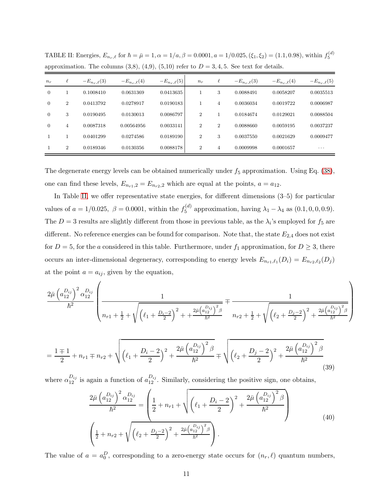| $n_r$          | $\ell$         | $-E_{n_r,\ell}(3)$ | $-E_{n_r,\ell}(4)$ | $-E_{n_r,\ell}(5)$ | $n_r$          | $\ell$         | $-E_{n_r,\ell}(3)$ | $-E_{n_r,\ell}(4)$ | $-E_{n_r,\ell}(5)$ |
|----------------|----------------|--------------------|--------------------|--------------------|----------------|----------------|--------------------|--------------------|--------------------|
| $\overline{0}$ |                | 0.1008410          | 0.0631369          | 0.0413635          |                | 3              | 0.0088491          | 0.0058207          | 0.0035513          |
| $\overline{0}$ | $\overline{2}$ | 0.0413792          | 0.0278917          | 0.0190183          |                | 4              | 0.0036034          | 0.0019722          | 0.0006987          |
| $\overline{0}$ | 3              | 0.0190495          | 0.0130013          | 0.0086797          | $\overline{2}$ |                | 0.0184674          | 0.0129021          | 0.0088504          |
| $\overline{0}$ | 4              | 0.0087318          | 0.00564956         | 0.0033141          | $\overline{2}$ | $\overline{2}$ | 0.0088660          | 0.0059195          | 0.0037237          |
|                |                | 0.0401299          | 0.0274586          | 0.0189190          | $\overline{2}$ | 3              | 0.0037550          | 0.0021629          | 0.0009477          |
|                | $\overline{2}$ | 0.0189346          | 0.0130356          | 0.0088178          | $\overline{2}$ | 4              | 0.0009998          | 0.0001657          | $\cdots$           |

<span id="page-10-0"></span>TABLE II: Energies,  $E_{n_r,\ell}$  for  $\hbar = \bar{\mu} = 1, \alpha = 1/a, \beta = 0.0001, a = 1/0.025, (\xi_1, \xi_2) = (1.1, 0.98)$ , within  $f_5^{(d)}$ approximation. The columns  $(3,8)$ ,  $(4,9)$ ,  $(5,10)$  refer to  $D = 3, 4, 5$ . See text for details.

The degenerate energy levels can be obtained numerically under  $f_5$  approximation. Using Eq. [\(38\)](#page-9-1), one can find these levels,  $E_{n_{r1},2} = E_{n_{r2},2}$  which are equal at the points,  $a = a_{12}$ .

In Table [II,](#page-10-0) we offer representative state energies, for different dimensions (3–5) for particular values of  $a = 1/0.025$ ,  $\beta = 0.0001$ , within the  $f_5^{(d)}$  $S_5^{(a)}$  approximation, having  $\lambda_1 - \lambda_4$  as  $(0.1, 0, 0, 0.9)$ . The  $D=3$  results are slightly different from those in previous table, as the  $\lambda_i$ 's employed for  $f_5$  are different. No reference energies can be found for comparison. Note that, the state  $E_{2,4}$  does not exist for  $D = 5$ , for the a considered in this table. Furthermore, under  $f_1$  approximation, for  $D \geq 3$ , there occurs an inter-dimensional degeneracy, corresponding to energy levels  $E_{n_{r1},\ell_1}(D_i) = E_{n_{r2},\ell_2}(D_j)$ at the point  $a = a_{ij}$ , given by the equation,

$$
\frac{2\bar{\mu} \left(a_{12}^{D_{ij}}\right)^2 \alpha_{12}^{D_{ij}}}{\hbar^2} \left(\frac{1}{n_{r1} + \frac{1}{2} + \sqrt{\left(\ell_1 + \frac{D_i - 2}{2}\right)^2 + \frac{2\bar{\mu} \left(a_{12}^{D_{ij}}\right)^2 \beta}{\hbar^2}}}} + \frac{1}{n_{r2} + \frac{1}{2} + \sqrt{\left(\ell_2 + \frac{D_j - 2}{2}\right)^2 + \frac{2\bar{\mu} \left(a_{12}^{D_{ij}}\right)^2 \beta}{\hbar^2}}}\right)
$$

$$
= \frac{1 \pm 1}{2} + n_{r1} \mp n_{r2} + \sqrt{\left(\ell_1 + \frac{D_i - 2}{2}\right)^2 + \frac{2\bar{\mu} \left(a_{12}^{D_{ij}}\right)^2 \beta}{\hbar^2}} \mp \sqrt{\left(\ell_2 + \frac{D_j - 2}{2}\right)^2 + \frac{2\bar{\mu} \left(a_{12}^{D_{ij}}\right)^2 \beta}{\hbar^2}}
$$
(39)

where  $\alpha_{12}^{D_{ij}}$  is again a function of  $a_{12}^{D_{ij}}$ . Similarly, considering the positive sign, one obtains,

<span id="page-10-1"></span>
$$
\frac{2\bar{\mu}\left(a_{12}^{D_{ij}}\right)^2 \alpha_{12}^{D_{ij}}}{\hbar^2} = \left(\frac{1}{2} + n_{r1} + \sqrt{\left(\ell_1 + \frac{D_i - 2}{2}\right)^2 + \frac{2\bar{\mu}\left(a_{12}^{D_{ij}}\right)^2 \beta}{\hbar^2}}\right)
$$
\n
$$
\left(\frac{1}{2} + n_{r2} + \sqrt{\left(\ell_2 + \frac{D_i - 2}{2}\right)^2 + \frac{2\bar{\mu}\left(a_{12}^{D_{ij}}\right)^2 \beta}{\hbar^2}}\right).
$$
\n(40)

The value of  $a = a_0^D$ , corresponding to a zero-energy state occurs for  $(n_r, \ell)$  quantum numbers,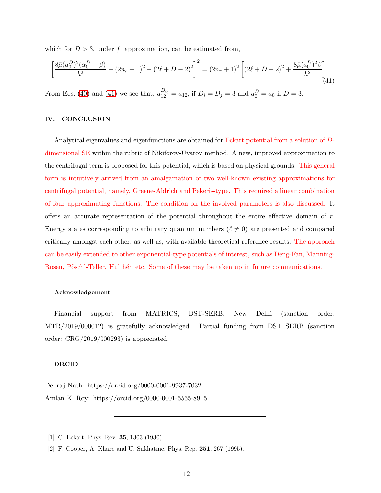which for  $D > 3$ , under  $f_1$  approximation, can be estimated from,

<span id="page-11-3"></span>
$$
\left[\frac{8\bar{\mu}(a_0^D)^2(\alpha_0^D - \beta)}{\hbar^2} - (2n_r + 1)^2 - (2\ell + D - 2)^2\right]^2 = (2n_r + 1)^2 \left[ (2\ell + D - 2)^2 + \frac{8\bar{\mu}(a_0^D)^2\beta}{\hbar^2} \right].
$$
\n(41)

From Eqs. [\(40\)](#page-10-1) and [\(41\)](#page-11-3) we see that,  $a_{12}^{D_{ij}} = a_{12}$ , if  $D_i = D_j = 3$  and  $a_0^D = a_0$  if  $D = 3$ .

## <span id="page-11-2"></span>IV. CONCLUSION

Analytical eigenvalues and eigenfunctions are obtained for Eckart potential from a solution of Ddimensional SE within the rubric of Nikiforov-Uvarov method. A new, improved approximation to the centrifugal term is proposed for this potential, which is based on physical grounds. This general form is intuitively arrived from an amalgamation of two well-known existing approximations for centrifugal potential, namely, Greene-Aldrich and Pekeris-type. This required a linear combination of four approximating functions. The condition on the involved parameters is also discussed. It offers an accurate representation of the potential throughout the entire effective domain of  $r$ . Energy states corresponding to arbitrary quantum numbers ( $\ell \neq 0$ ) are presented and compared critically amongst each other, as well as, with available theoretical reference results. The approach can be easily extended to other exponential-type potentials of interest, such as Deng-Fan, Manning-Rosen, Pöschl-Teller, Hulthén etc. Some of these may be taken up in future communications.

#### Acknowledgement

Financial support from MATRICS, DST-SERB, New Delhi (sanction order: MTR/2019/000012) is gratefully acknowledged. Partial funding from DST SERB (sanction order: CRG/2019/000293) is appreciated.

## ORCID

Debraj Nath: https://orcid.org/0000-0001-9937-7032 Amlan K. Roy: https://orcid.org/0000-0001-5555-8915

<span id="page-11-0"></span><sup>[1]</sup> C. Eckart, Phys. Rev. **35**, 1303 (1930).

<span id="page-11-1"></span><sup>[2]</sup> F. Cooper, A. Khare and U. Sukhatme, Phys. Rep. 251, 267 (1995).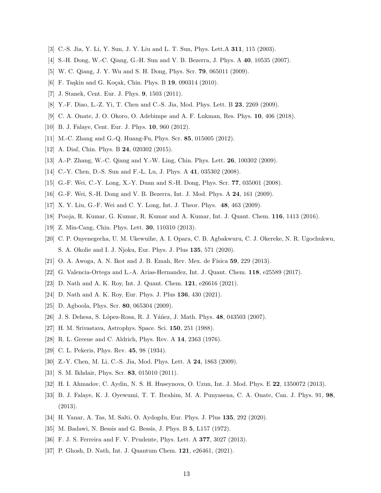- <span id="page-12-0"></span>[3] C.-S. Jia, Y. Li, Y. Sun, J. Y. Liu and L. T. Sun, Phys. Lett.A 311, 115 (2003).
- <span id="page-12-1"></span>[4] S.-H. Dong, W.-C. Qiang, G.-H. Sun and V. B. Bezerra, J. Phys. A 40, 10535 (2007).
- <span id="page-12-15"></span>[5] W. C. Qiang, J. Y. Wu and S. H. Dong, Phys. Scr. 79, 065011 (2009).
- <span id="page-12-26"></span>[6] F. Taşkin and G. Koçak, Chin. Phys. B 19, 090314 (2010).
- <span id="page-12-2"></span>[7] J. Stanek, Cent. Eur. J. Phys. 9, 1503 (2011).
- <span id="page-12-3"></span>[8] Y.-F. Diao, L.-Z. Yi, T. Chen and C.-S. Jia, Mod. Phys. Lett. B 23, 2269 (2009).
- <span id="page-12-4"></span>[9] C. A. Onate, J. O. Okoro, O. Adebimpe and A. F. Lukman, Res. Phys. 10, 406 (2018).
- <span id="page-12-5"></span>[10] B. J. Falaye, Cent. Eur. J. Phys. 10, 960 (2012).
- <span id="page-12-6"></span>[11] M.-C. Zhang and G.-Q. Huang-Fu, Phys. Scr. 85, 015005 (2012).
- <span id="page-12-7"></span>[12] A. Diaf, Chin. Phys. B **24**, 020302 (2015).
- <span id="page-12-8"></span>[13] A.-P. Zhang, W.-C. Qiang and Y.-W. Ling, Chin. Phys. Lett. 26, 100302 (2009).
- <span id="page-12-9"></span>[14] C.-Y. Chen, D.-S. Sun and F.-L. Lu, J. Phys. A 41, 035302 (2008).
- <span id="page-12-10"></span>[15] G.-F. Wei, C.-Y. Long, X.-Y. Duan and S.-H. Dong, Phys. Scr. 77, 035001 (2008).
- <span id="page-12-11"></span>[16] G.-F. Wei, S.-H. Dong and V. B. Bezerra, Int. J. Mod. Phys. A 24, 161 (2009).
- <span id="page-12-12"></span>[17] X. Y. Liu, G.-F. Wei and C. Y. Long, Int. J. Theor. Phys. 48, 463 (2009).
- <span id="page-12-13"></span>[18] Pooja, R. Kumar, G. Kumar, R. Kumar and A. Kumar, Int. J. Quant. Chem. 116, 1413 (2016).
- <span id="page-12-14"></span>[19] Z. Min-Cang, Chin. Phys. Lett. 30, 110310 (2013).
- <span id="page-12-16"></span>[20] C. P. Onyenegecha, U. M. Ukewuihe, A. I. Opara, C. B. Agbakwuru, C. J. Okereke, N. R. Ugochukwu, S. A. Okolie and I. J. Njoku, Eur. Phys. J. Plus 135, 571 (2020).
- <span id="page-12-17"></span>[21] O. A. Awoga, A. N. Ikot and J. B. Emah, Rev. Mex. de Física 59, 229 (2013).
- <span id="page-12-18"></span>[22] G. Valencia-Ortega and L.-A. Arias-Hernandez, Int. J. Quant. Chem. 118, e25589 (2017).
- <span id="page-12-19"></span>[23] D. Nath and A. K. Roy, Int. J. Quant. Chem. **121**, e26616 (2021).
- <span id="page-12-20"></span>[24] D. Nath and A. K. Roy, Eur. Phys. J. Plus 136, 430 (2021).
- <span id="page-12-21"></span>[25] D. Agboola, Phys. Scr. 80, 065304 (2009).
- <span id="page-12-22"></span>[26] J. S. Dehesa, S. López-Rosa, R. J. Yáñez, J. Math. Phys. 48, 043503 (2007).
- <span id="page-12-23"></span>[27] H. M. Srivastava, Astrophys. Space. Sci. 150, 251 (1988).
- <span id="page-12-24"></span>[28] R. L. Greene and C. Aldrich, Phys. Rev. A 14, 2363 (1976).
- <span id="page-12-25"></span>[29] C. L. Pekeris, Phys. Rev. **45**, 98 (1934).
- <span id="page-12-27"></span>[30] Z.-Y. Chen, M. Li, C.-S. Jia, Mod. Phys. Lett. A 24, 1863 (2009).
- [31] S. M. Ikhdair, Phys. Scr. **83**, 015010 (2011).
- [32] H. I. Ahmadov, C. Aydin, N. S. H. Huseynova, O. Uzun, Int. J. Mod. Phys. E 22, 1350072 (2013).
- [33] B. J. Falaye, K. J. Oyewumi, T. T. Ibrahim, M. A. Punyasena, C. A. Onate, Can. J. Phys. 91, 98, (2013).
- <span id="page-12-28"></span>[34] H. Yanar, A. Tas, M. Salti, O. Aydogdu, Eur. Phys. J. Plus 135, 292 (2020).
- <span id="page-12-29"></span>[35] M. Badawi, N. Bessis and G. Bessis, J. Phys. B 5, L157 (1972).
- <span id="page-12-30"></span>[36] F. J. S. Ferreira and F. V. Prudente, Phys. Lett. A 377, 3027 (2013).
- <span id="page-12-31"></span>[37] P. Ghosh, D. Nath, Int. J. Quantum Chem. 121, e26461, (2021).